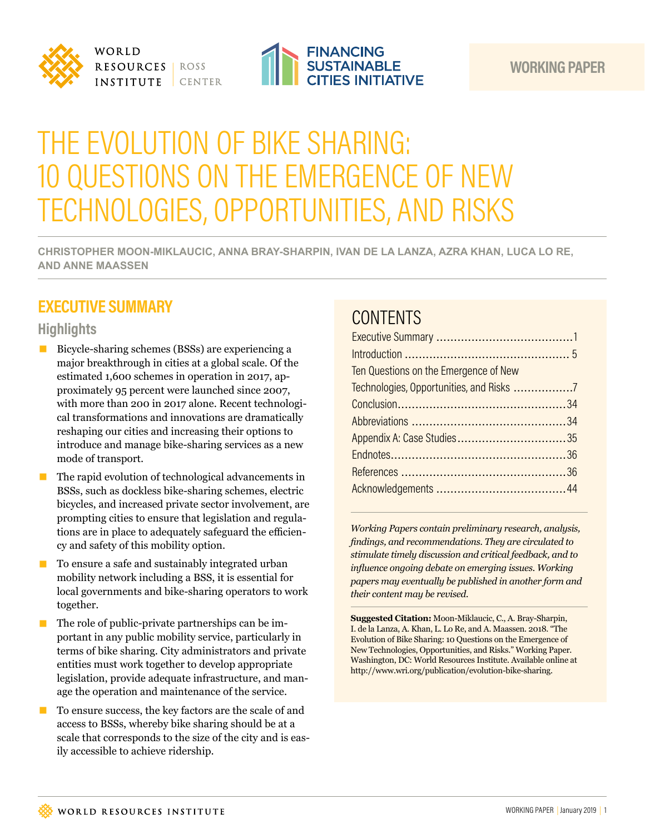



# THE EVOLUTION OF BIKE SHARING: 10 QUESTIONS ON THE EMERGENCE OF NEW TECHNOLOGIES, OPPORTUNITIES, AND RISKS

**CHRISTOPHER MOON-MIKLAUCIC, ANNA BRAY-SHARPIN, IVAN DE LA LANZA, AZRA KHAN, LUCA LO RE, AND ANNE MAASSEN**

# **EXECUTIVE SUMMARY**

## **Highlights**

- Bicycle-sharing schemes (BSSs) are experiencing a major breakthrough in cities at a global scale. Of the estimated 1,600 schemes in operation in 2017, approximately 95 percent were launched since 2007, with more than 200 in 2017 alone. Recent technological transformations and innovations are dramatically reshaping our cities and increasing their options to introduce and manage bike-sharing services as a new mode of transport.
- $\blacksquare$  The rapid evolution of technological advancements in BSSs, such as dockless bike-sharing schemes, electric bicycles, and increased private sector involvement, are prompting cities to ensure that legislation and regulations are in place to adequately safeguard the efficiency and safety of this mobility option.
- To ensure a safe and sustainably integrated urban mobility network including a BSS, it is essential for local governments and bike-sharing operators to work together.
- $\blacksquare$  The role of public-private partnerships can be important in any public mobility service, particularly in terms of bike sharing. City administrators and private entities must work together to develop appropriate legislation, provide adequate infrastructure, and manage the operation and maintenance of the service.
- To ensure success, the key factors are the scale of and access to BSSs, whereby bike sharing should be at a scale that corresponds to the size of the city and is easily accessible to achieve ridership.

# **CONTENTS**

| Ten Questions on the Emergence of New |  |
|---------------------------------------|--|
|                                       |  |
|                                       |  |
|                                       |  |
|                                       |  |
|                                       |  |
|                                       |  |
|                                       |  |

*Working Papers contain preliminary research, analysis, findings, and recommendations. They are circulated to stimulate timely discussion and critical feedback, and to influence ongoing debate on emerging issues. Working papers may eventually be published in another form and their content may be revised.*

**Suggested Citation:** Moon-Miklaucic, C., A. Bray-Sharpin, I. de la Lanza, A. Khan, L. Lo Re, and A. Maassen. 2018. "The Evolution of Bike Sharing: 10 Questions on the Emergence of New Technologies, Opportunities, and Risks." Working Paper. Washington, DC: World Resources Institute. Available online at [http://www.wri.org/publication/evolution-bike-sharing.](http://www.wri.org/publication/evolution-bike-sharing)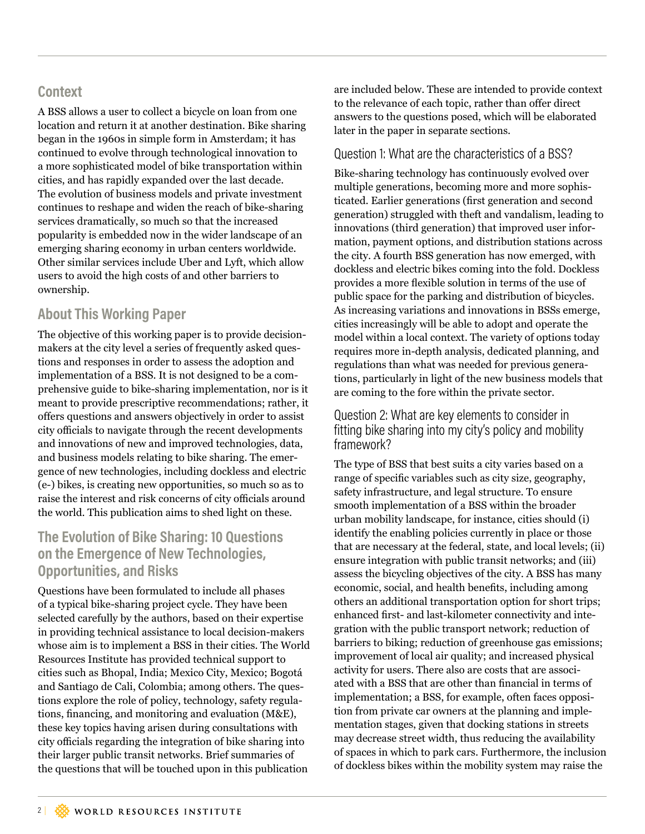## **Context**

A BSS allows a user to collect a bicycle on loan from one location and return it at another destination. Bike sharing began in the 1960s in simple form in Amsterdam; it has continued to evolve through technological innovation to a more sophisticated model of bike transportation within cities, and has rapidly expanded over the last decade. The evolution of business models and private investment continues to reshape and widen the reach of bike-sharing services dramatically, so much so that the increased popularity is embedded now in the wider landscape of an emerging sharing economy in urban centers worldwide. Other similar services include Uber and Lyft, which allow users to avoid the high costs of and other barriers to ownership.

# **About This Working Paper**

The objective of this working paper is to provide decisionmakers at the city level a series of frequently asked questions and responses in order to assess the adoption and implementation of a BSS. It is not designed to be a comprehensive guide to bike-sharing implementation, nor is it meant to provide prescriptive recommendations; rather, it offers questions and answers objectively in order to assist city officials to navigate through the recent developments and innovations of new and improved technologies, data, and business models relating to bike sharing. The emergence of new technologies, including dockless and electric (e-) bikes, is creating new opportunities, so much so as to raise the interest and risk concerns of city officials around the world. This publication aims to shed light on these.

# **The Evolution of Bike Sharing: 10 Questions on the Emergence of New Technologies, Opportunities, and Risks**

Questions have been formulated to include all phases of a typical bike-sharing project cycle. They have been selected carefully by the authors, based on their expertise in providing technical assistance to local decision-makers whose aim is to implement a BSS in their cities. The World Resources Institute has provided technical support to cities such as Bhopal, India; Mexico City, Mexico; Bogotá and Santiago de Cali, Colombia; among others. The questions explore the role of policy, technology, safety regulations, financing, and monitoring and evaluation (M&E), these key topics having arisen during consultations with city officials regarding the integration of bike sharing into their larger public transit networks. Brief summaries of the questions that will be touched upon in this publication

are included below. These are intended to provide context to the relevance of each topic, rather than offer direct answers to the questions posed, which will be elaborated later in the paper in separate sections.

#### Question 1: What are the characteristics of a BSS?

Bike-sharing technology has continuously evolved over multiple generations, becoming more and more sophisticated. Earlier generations (first generation and second generation) struggled with theft and vandalism, leading to innovations (third generation) that improved user information, payment options, and distribution stations across the city. A fourth BSS generation has now emerged, with dockless and electric bikes coming into the fold. Dockless provides a more flexible solution in terms of the use of public space for the parking and distribution of bicycles. As increasing variations and innovations in BSSs emerge, cities increasingly will be able to adopt and operate the model within a local context. The variety of options today requires more in-depth analysis, dedicated planning, and regulations than what was needed for previous generations, particularly in light of the new business models that are coming to the fore within the private sector.

#### Question 2: What are key elements to consider in fitting bike sharing into my city's policy and mobility framework?

The type of BSS that best suits a city varies based on a range of specific variables such as city size, geography, safety infrastructure, and legal structure. To ensure smooth implementation of a BSS within the broader urban mobility landscape, for instance, cities should (i) identify the enabling policies currently in place or those that are necessary at the federal, state, and local levels; (ii) ensure integration with public transit networks; and (iii) assess the bicycling objectives of the city. A BSS has many economic, social, and health benefits, including among others an additional transportation option for short trips; enhanced first- and last-kilometer connectivity and integration with the public transport network; reduction of barriers to biking; reduction of greenhouse gas emissions; improvement of local air quality; and increased physical activity for users. There also are costs that are associated with a BSS that are other than financial in terms of implementation; a BSS, for example, often faces opposition from private car owners at the planning and implementation stages, given that docking stations in streets may decrease street width, thus reducing the availability of spaces in which to park cars. Furthermore, the inclusion of dockless bikes within the mobility system may raise the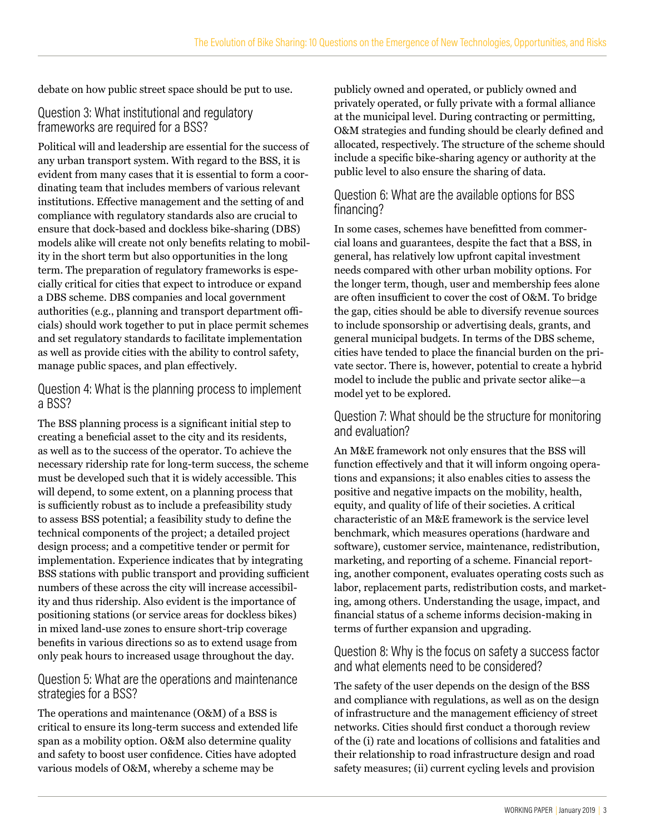debate on how public street space should be put to use.

#### Question 3: What institutional and regulatory frameworks are required for a BSS?

Political will and leadership are essential for the success of any urban transport system. With regard to the BSS, it is evident from many cases that it is essential to form a coordinating team that includes members of various relevant institutions. Effective management and the setting of and compliance with regulatory standards also are crucial to ensure that dock-based and dockless bike-sharing (DBS) models alike will create not only benefits relating to mobility in the short term but also opportunities in the long term. The preparation of regulatory frameworks is especially critical for cities that expect to introduce or expand a DBS scheme. DBS companies and local government authorities (e.g., planning and transport department officials) should work together to put in place permit schemes and set regulatory standards to facilitate implementation as well as provide cities with the ability to control safety, manage public spaces, and plan effectively.

#### Question 4: What is the planning process to implement a BSS?

The BSS planning process is a significant initial step to creating a beneficial asset to the city and its residents, as well as to the success of the operator. To achieve the necessary ridership rate for long-term success, the scheme must be developed such that it is widely accessible. This will depend, to some extent, on a planning process that is sufficiently robust as to include a prefeasibility study to assess BSS potential; a feasibility study to define the technical components of the project; a detailed project design process; and a competitive tender or permit for implementation. Experience indicates that by integrating BSS stations with public transport and providing sufficient numbers of these across the city will increase accessibility and thus ridership. Also evident is the importance of positioning stations (or service areas for dockless bikes) in mixed land-use zones to ensure short-trip coverage benefits in various directions so as to extend usage from only peak hours to increased usage throughout the day.

#### Question 5: What are the operations and maintenance strategies for a BSS?

The operations and maintenance (O&M) of a BSS is critical to ensure its long-term success and extended life span as a mobility option. O&M also determine quality and safety to boost user confidence. Cities have adopted various models of O&M, whereby a scheme may be

publicly owned and operated, or publicly owned and privately operated, or fully private with a formal alliance at the municipal level. During contracting or permitting, O&M strategies and funding should be clearly defined and allocated, respectively. The structure of the scheme should include a specific bike-sharing agency or authority at the public level to also ensure the sharing of data.

#### Question 6: What are the available options for BSS financing?

In some cases, schemes have benefitted from commercial loans and guarantees, despite the fact that a BSS, in general, has relatively low upfront capital investment needs compared with other urban mobility options. For the longer term, though, user and membership fees alone are often insufficient to cover the cost of O&M. To bridge the gap, cities should be able to diversify revenue sources to include sponsorship or advertising deals, grants, and general municipal budgets. In terms of the DBS scheme, cities have tended to place the financial burden on the private sector. There is, however, potential to create a hybrid model to include the public and private sector alike—a model yet to be explored.

#### Question 7: What should be the structure for monitoring and evaluation?

An M&E framework not only ensures that the BSS will function effectively and that it will inform ongoing operations and expansions; it also enables cities to assess the positive and negative impacts on the mobility, health, equity, and quality of life of their societies. A critical characteristic of an M&E framework is the service level benchmark, which measures operations (hardware and software), customer service, maintenance, redistribution, marketing, and reporting of a scheme. Financial reporting, another component, evaluates operating costs such as labor, replacement parts, redistribution costs, and marketing, among others. Understanding the usage, impact, and financial status of a scheme informs decision-making in terms of further expansion and upgrading.

#### Question 8: Why is the focus on safety a success factor and what elements need to be considered?

The safety of the user depends on the design of the BSS and compliance with regulations, as well as on the design of infrastructure and the management efficiency of street networks. Cities should first conduct a thorough review of the (i) rate and locations of collisions and fatalities and their relationship to road infrastructure design and road safety measures; (ii) current cycling levels and provision